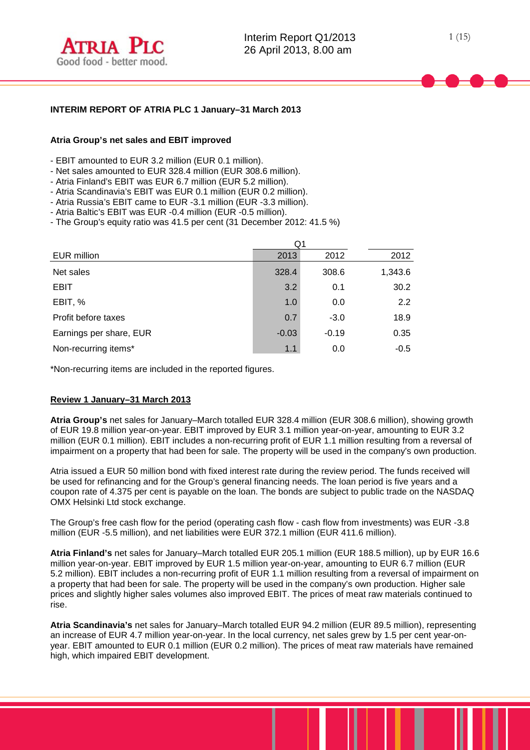

# **INTERIM REPORT OF ATRIA PLC 1 January–31 March 2013**

# **Atria Group's net sales and EBIT improved**

- EBIT amounted to EUR 3.2 million (EUR 0.1 million).
- Net sales amounted to EUR 328.4 million (EUR 308.6 million).
- Atria Finland's EBIT was EUR 6.7 million (EUR 5.2 million).
- Atria Scandinavia's EBIT was EUR 0.1 million (EUR 0.2 million).
- Atria Russia's EBIT came to EUR -3.1 million (EUR -3.3 million).
- Atria Baltic's EBIT was EUR -0.4 million (EUR -0.5 million).
- The Group's equity ratio was 41.5 per cent (31 December 2012: 41.5 %)

|                         | Q1      |         |         |  |  |  |
|-------------------------|---------|---------|---------|--|--|--|
| EUR million             | 2013    | 2012    | 2012    |  |  |  |
| Net sales               | 328.4   | 308.6   | 1,343.6 |  |  |  |
| <b>EBIT</b>             | 3.2     | 0.1     | 30.2    |  |  |  |
| EBIT, %                 | 1.0     | 0.0     | 2.2     |  |  |  |
| Profit before taxes     | 0.7     | $-3.0$  | 18.9    |  |  |  |
| Earnings per share, EUR | $-0.03$ | $-0.19$ | 0.35    |  |  |  |
| Non-recurring items*    | 1.1     | 0.0     | $-0.5$  |  |  |  |

\*Non-recurring items are included in the reported figures.

#### **Review 1 January–31 March 2013**

**Atria Group's** net sales for January–March totalled EUR 328.4 million (EUR 308.6 million), showing growth of EUR 19.8 million year-on-year. EBIT improved by EUR 3.1 million year-on-year, amounting to EUR 3.2 million (EUR 0.1 million). EBIT includes a non-recurring profit of EUR 1.1 million resulting from a reversal of impairment on a property that had been for sale. The property will be used in the company's own production.

Atria issued a EUR 50 million bond with fixed interest rate during the review period. The funds received will be used for refinancing and for the Group's general financing needs. The loan period is five years and a coupon rate of 4.375 per cent is payable on the loan. The bonds are subject to public trade on the NASDAQ OMX Helsinki Ltd stock exchange.

The Group's free cash flow for the period (operating cash flow - cash flow from investments) was EUR -3.8 million (EUR -5.5 million), and net liabilities were EUR 372.1 million (EUR 411.6 million).

**Atria Finland's** net sales for January–March totalled EUR 205.1 million (EUR 188.5 million), up by EUR 16.6 million year-on-year. EBIT improved by EUR 1.5 million year-on-year, amounting to EUR 6.7 million (EUR 5.2 million). EBIT includes a non-recurring profit of EUR 1.1 million resulting from a reversal of impairment on a property that had been for sale. The property will be used in the company's own production. Higher sale prices and slightly higher sales volumes also improved EBIT. The prices of meat raw materials continued to rise.

**Atria Scandinavia's** net sales for January–March totalled EUR 94.2 million (EUR 89.5 million), representing an increase of EUR 4.7 million year-on-year. In the local currency, net sales grew by 1.5 per cent year-onyear. EBIT amounted to EUR 0.1 million (EUR 0.2 million). The prices of meat raw materials have remained high, which impaired EBIT development.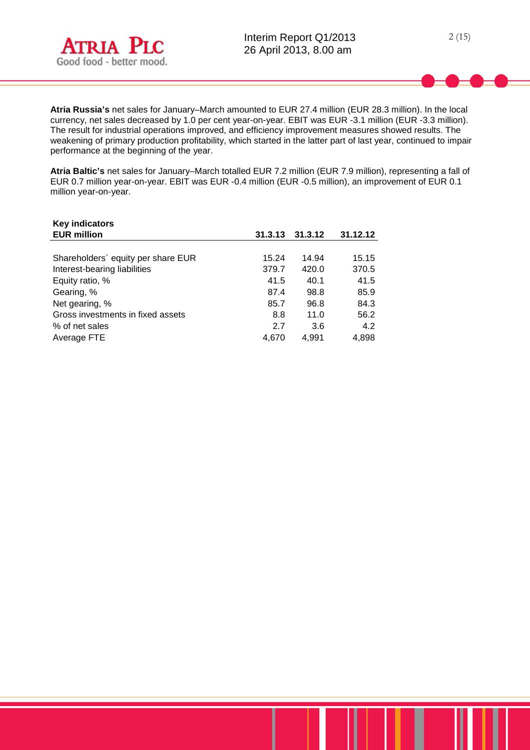

**Atria Russia's** net sales for January–March amounted to EUR 27.4 million (EUR 28.3 million). In the local currency, net sales decreased by 1.0 per cent year-on-year. EBIT was EUR -3.1 million (EUR -3.3 million). The result for industrial operations improved, and efficiency improvement measures showed results. The weakening of primary production profitability, which started in the latter part of last year, continued to impair performance at the beginning of the year.

**Atria Baltic's** net sales for January–March totalled EUR 7.2 million (EUR 7.9 million), representing a fall of EUR 0.7 million year-on-year. EBIT was EUR -0.4 million (EUR -0.5 million), an improvement of EUR 0.1 million year-on-year.

| <b>Key indicators</b>              |         |         |          |
|------------------------------------|---------|---------|----------|
| <b>EUR million</b>                 | 31.3.13 | 31.3.12 | 31.12.12 |
|                                    |         |         |          |
| Shareholders' equity per share EUR | 15.24   | 14.94   | 15.15    |
| Interest-bearing liabilities       | 379.7   | 420.0   | 370.5    |
| Equity ratio, %                    | 41.5    | 40.1    | 41.5     |
| Gearing, %                         | 87.4    | 98.8    | 85.9     |
| Net gearing, %                     | 85.7    | 96.8    | 84.3     |
| Gross investments in fixed assets  | 8.8     | 11.0    | 56.2     |
| % of net sales                     | 2.7     | 3.6     | 4.2      |
| Average FTE                        | 4.670   | 4.991   | 4,898    |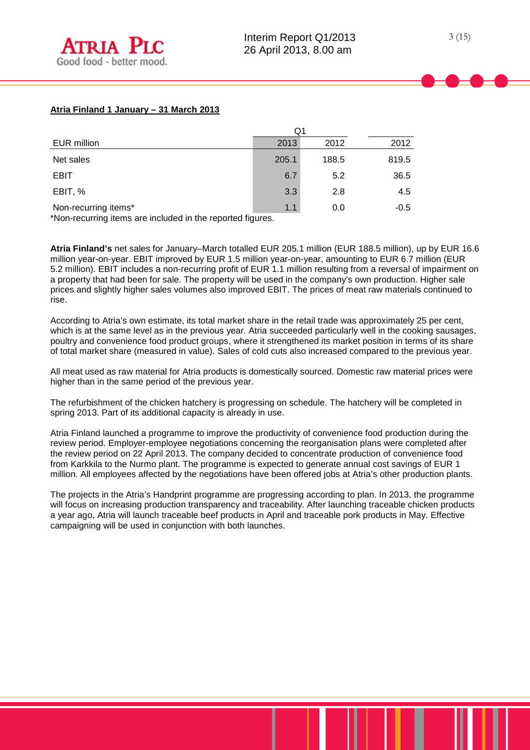## **Atria Finland 1 January – 31 March 2013**

|                      | Q1    |       |        |  |
|----------------------|-------|-------|--------|--|
| EUR million          | 2013  | 2012  | 2012   |  |
| Net sales            | 205.1 | 188.5 | 819.5  |  |
| <b>EBIT</b>          | 6.7   | 5.2   | 36.5   |  |
| EBIT, %              | 3.3   | 2.8   | 4.5    |  |
| Non-recurring items* | 1.1   | 0.0   | $-0.5$ |  |

\*Non-recurring items are included in the reported figures.

**Atria Finland's** net sales for January–March totalled EUR 205.1 million (EUR 188.5 million), up by EUR 16.6 million year-on-year. EBIT improved by EUR 1.5 million year-on-year, amounting to EUR 6.7 million (EUR 5.2 million). EBIT includes a non-recurring profit of EUR 1.1 million resulting from a reversal of impairment on a property that had been for sale. The property will be used in the company's own production. Higher sale prices and slightly higher sales volumes also improved EBIT. The prices of meat raw materials continued to rise.

According to Atria's own estimate, its total market share in the retail trade was approximately 25 per cent, which is at the same level as in the previous year. Atria succeeded particularly well in the cooking sausages, poultry and convenience food product groups, where it strengthened its market position in terms of its share of total market share (measured in value). Sales of cold cuts also increased compared to the previous year.

All meat used as raw material for Atria products is domestically sourced. Domestic raw material prices were higher than in the same period of the previous year.

The refurbishment of the chicken hatchery is progressing on schedule. The hatchery will be completed in spring 2013. Part of its additional capacity is already in use.

Atria Finland launched a programme to improve the productivity of convenience food production during the review period. Employer-employee negotiations concerning the reorganisation plans were completed after the review period on 22 April 2013. The company decided to concentrate production of convenience food from Karkkila to the Nurmo plant. The programme is expected to generate annual cost savings of EUR 1 million. All employees affected by the negotiations have been offered jobs at Atria's other production plants.

The projects in the Atria's Handprint programme are progressing according to plan. In 2013, the programme will focus on increasing production transparency and traceability. After launching traceable chicken products a year ago, Atria will launch traceable beef products in April and traceable pork products in May. Effective campaigning will be used in conjunction with both launches.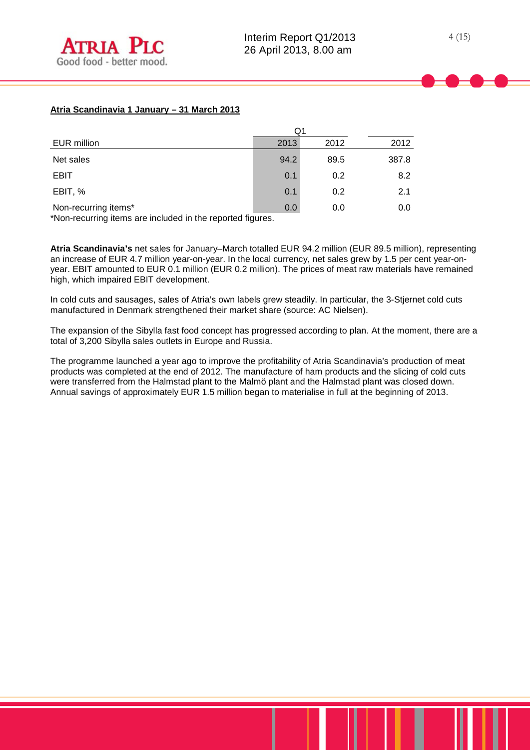# **Atria Scandinavia 1 January – 31 March 2013**

|                      | Q1   |      |       |
|----------------------|------|------|-------|
| EUR million          | 2013 | 2012 | 2012  |
| Net sales            | 94.2 | 89.5 | 387.8 |
| <b>EBIT</b>          | 0.1  | 0.2  | 8.2   |
| EBIT, %              | 0.1  | 0.2  | 2.1   |
| Non-recurring items* | 0.0  | 0.0  | 0.0   |

\*Non-recurring items are included in the reported figures.

**Atria Scandinavia's** net sales for January–March totalled EUR 94.2 million (EUR 89.5 million), representing an increase of EUR 4.7 million year-on-year. In the local currency, net sales grew by 1.5 per cent year-onyear. EBIT amounted to EUR 0.1 million (EUR 0.2 million). The prices of meat raw materials have remained high, which impaired EBIT development.

In cold cuts and sausages, sales of Atria's own labels grew steadily. In particular, the 3-Stjernet cold cuts manufactured in Denmark strengthened their market share (source: AC Nielsen).

The expansion of the Sibylla fast food concept has progressed according to plan. At the moment, there are a total of 3,200 Sibylla sales outlets in Europe and Russia.

The programme launched a year ago to improve the profitability of Atria Scandinavia's production of meat products was completed at the end of 2012. The manufacture of ham products and the slicing of cold cuts were transferred from the Halmstad plant to the Malmö plant and the Halmstad plant was closed down. Annual savings of approximately EUR 1.5 million began to materialise in full at the beginning of 2013.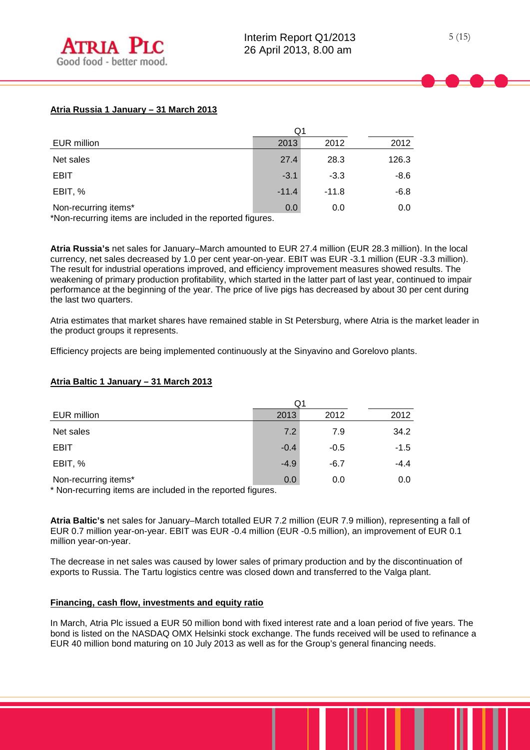# **Atria Russia 1 January – 31 March 2013**

| EUR million                                | 2013    | 2012    | 2012   |
|--------------------------------------------|---------|---------|--------|
| Net sales                                  | 27.4    | 28.3    | 126.3  |
| <b>EBIT</b>                                | $-3.1$  | $-3.3$  | -8.6   |
| EBIT, %                                    | $-11.4$ | $-11.8$ | $-6.8$ |
| Non-recurring items*<br>.<br>$\cdots$<br>. | 0.0     | 0.0     | 0.0    |

\*Non-recurring items are included in the reported figures.

**Atria Russia's** net sales for January–March amounted to EUR 27.4 million (EUR 28.3 million). In the local currency, net sales decreased by 1.0 per cent year-on-year. EBIT was EUR -3.1 million (EUR -3.3 million). The result for industrial operations improved, and efficiency improvement measures showed results. The weakening of primary production profitability, which started in the latter part of last year, continued to impair performance at the beginning of the year. The price of live pigs has decreased by about 30 per cent during the last two quarters.

Atria estimates that market shares have remained stable in St Petersburg, where Atria is the market leader in the product groups it represents.

Efficiency projects are being implemented continuously at the Sinyavino and Gorelovo plants.

|                                                                                    | Q1     |        |        |  |  |
|------------------------------------------------------------------------------------|--------|--------|--------|--|--|
| EUR million                                                                        | 2013   | 2012   | 2012   |  |  |
| Net sales                                                                          | 7.2    | 7.9    | 34.2   |  |  |
| EBIT                                                                               | $-0.4$ | $-0.5$ | $-1.5$ |  |  |
| EBIT, %                                                                            | $-4.9$ | $-6.7$ | $-4.4$ |  |  |
| Non-recurring items*<br>* Non requiring items are included in the reported figures | 0.0    | 0.0    | 0.0    |  |  |

## **Atria Baltic 1 January – 31 March 2013**

Non-recurring items are included in the reported figures.

**Atria Baltic's** net sales for January–March totalled EUR 7.2 million (EUR 7.9 million), representing a fall of EUR 0.7 million year-on-year. EBIT was EUR -0.4 million (EUR -0.5 million), an improvement of EUR 0.1 million year-on-year.

The decrease in net sales was caused by lower sales of primary production and by the discontinuation of exports to Russia. The Tartu logistics centre was closed down and transferred to the Valga plant.

## **Financing, cash flow, investments and equity ratio**

In March, Atria Plc issued a EUR 50 million bond with fixed interest rate and a loan period of five years. The bond is listed on the NASDAQ OMX Helsinki stock exchange. The funds received will be used to refinance a EUR 40 million bond maturing on 10 July 2013 as well as for the Group's general financing needs.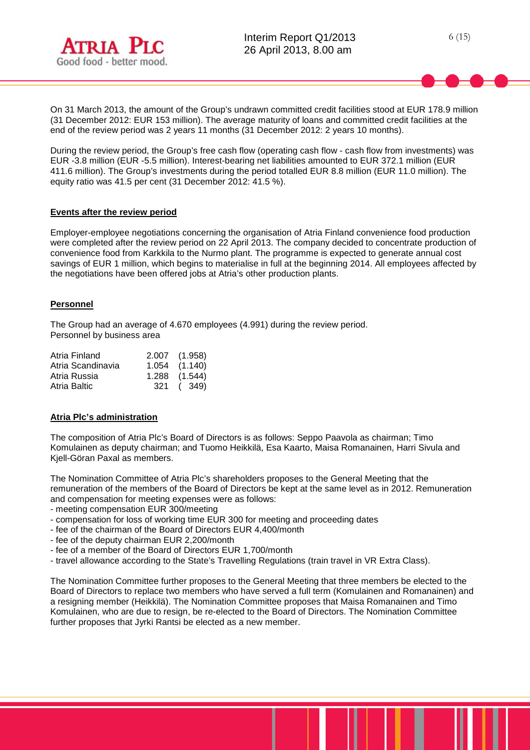

On 31 March 2013, the amount of the Group's undrawn committed credit facilities stood at EUR 178.9 million (31 December 2012: EUR 153 million). The average maturity of loans and committed credit facilities at the end of the review period was 2 years 11 months (31 December 2012: 2 years 10 months).

During the review period, the Group's free cash flow (operating cash flow - cash flow from investments) was EUR -3.8 million (EUR -5.5 million). Interest-bearing net liabilities amounted to EUR 372.1 million (EUR 411.6 million). The Group's investments during the period totalled EUR 8.8 million (EUR 11.0 million). The equity ratio was 41.5 per cent (31 December 2012: 41.5 %).

## **Events after the review period**

Employer-employee negotiations concerning the organisation of Atria Finland convenience food production were completed after the review period on 22 April 2013. The company decided to concentrate production of convenience food from Karkkila to the Nurmo plant. The programme is expected to generate annual cost savings of EUR 1 million, which begins to materialise in full at the beginning 2014. All employees affected by the negotiations have been offered jobs at Atria's other production plants.

## **Personnel**

The Group had an average of 4.670 employees (4.991) during the review period. Personnel by business area

| Atria Finland     | 2.007 (1.958)     |
|-------------------|-------------------|
| Atria Scandinavia | $1.054$ $(1.140)$ |
| Atria Russia      | $1.288$ $(1.544)$ |
| Atria Baltic      | 321 (349)         |
|                   |                   |

## **Atria Plc's administration**

The composition of Atria Plc's Board of Directors is as follows: Seppo Paavola as chairman; Timo Komulainen as deputy chairman; and Tuomo Heikkilä, Esa Kaarto, Maisa Romanainen, Harri Sivula and Kjell-Göran Paxal as members.

The Nomination Committee of Atria Plc's shareholders proposes to the General Meeting that the remuneration of the members of the Board of Directors be kept at the same level as in 2012. Remuneration and compensation for meeting expenses were as follows:

- meeting compensation EUR 300/meeting

- compensation for loss of working time EUR 300 for meeting and proceeding dates
- fee of the chairman of the Board of Directors EUR 4,400/month
- fee of the deputy chairman EUR 2,200/month
- fee of a member of the Board of Directors EUR 1,700/month
- travel allowance according to the State's Travelling Regulations (train travel in VR Extra Class).

The Nomination Committee further proposes to the General Meeting that three members be elected to the Board of Directors to replace two members who have served a full term (Komulainen and Romanainen) and a resigning member (Heikkilä). The Nomination Committee proposes that Maisa Romanainen and Timo Komulainen, who are due to resign, be re-elected to the Board of Directors. The Nomination Committee further proposes that Jyrki Rantsi be elected as a new member.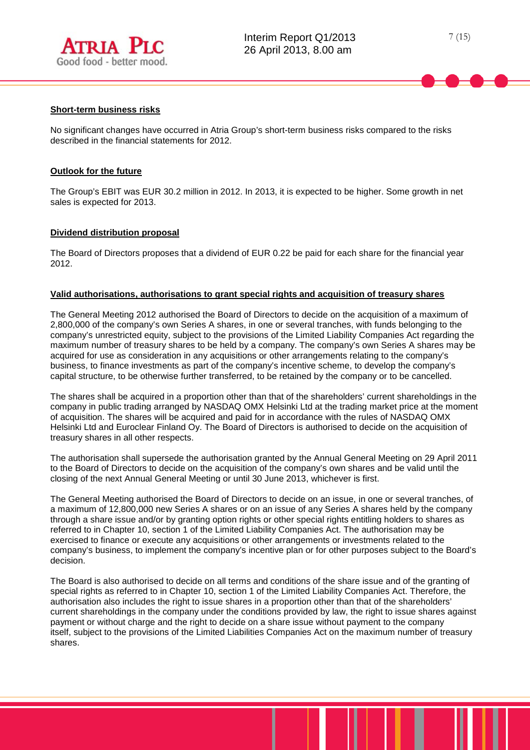

#### **Short-term business risks**

No significant changes have occurred in Atria Group's short-term business risks compared to the risks described in the financial statements for 2012.

## **Outlook for the future**

The Group's EBIT was EUR 30.2 million in 2012. In 2013, it is expected to be higher. Some growth in net sales is expected for 2013.

## **Dividend distribution proposal**

The Board of Directors proposes that a dividend of EUR 0.22 be paid for each share for the financial year 2012.

#### **Valid authorisations, authorisations to grant special rights and acquisition of treasury shares**

The General Meeting 2012 authorised the Board of Directors to decide on the acquisition of a maximum of 2,800,000 of the company's own Series A shares, in one or several tranches, with funds belonging to the company's unrestricted equity, subject to the provisions of the Limited Liability Companies Act regarding the maximum number of treasury shares to be held by a company. The company's own Series A shares may be acquired for use as consideration in any acquisitions or other arrangements relating to the company's business, to finance investments as part of the company's incentive scheme, to develop the company's capital structure, to be otherwise further transferred, to be retained by the company or to be cancelled.

The shares shall be acquired in a proportion other than that of the shareholders' current shareholdings in the company in public trading arranged by NASDAQ OMX Helsinki Ltd at the trading market price at the moment of acquisition. The shares will be acquired and paid for in accordance with the rules of NASDAQ OMX Helsinki Ltd and Euroclear Finland Oy. The Board of Directors is authorised to decide on the acquisition of treasury shares in all other respects.

The authorisation shall supersede the authorisation granted by the Annual General Meeting on 29 April 2011 to the Board of Directors to decide on the acquisition of the company's own shares and be valid until the closing of the next Annual General Meeting or until 30 June 2013, whichever is first.

The General Meeting authorised the Board of Directors to decide on an issue, in one or several tranches, of a maximum of 12,800,000 new Series A shares or on an issue of any Series A shares held by the company through a share issue and/or by granting option rights or other special rights entitling holders to shares as referred to in Chapter 10, section 1 of the Limited Liability Companies Act. The authorisation may be exercised to finance or execute any acquisitions or other arrangements or investments related to the company's business, to implement the company's incentive plan or for other purposes subject to the Board's decision.

The Board is also authorised to decide on all terms and conditions of the share issue and of the granting of special rights as referred to in Chapter 10, section 1 of the Limited Liability Companies Act. Therefore, the authorisation also includes the right to issue shares in a proportion other than that of the shareholders' current shareholdings in the company under the conditions provided by law, the right to issue shares against payment or without charge and the right to decide on a share issue without payment to the company itself, subject to the provisions of the Limited Liabilities Companies Act on the maximum number of treasury shares.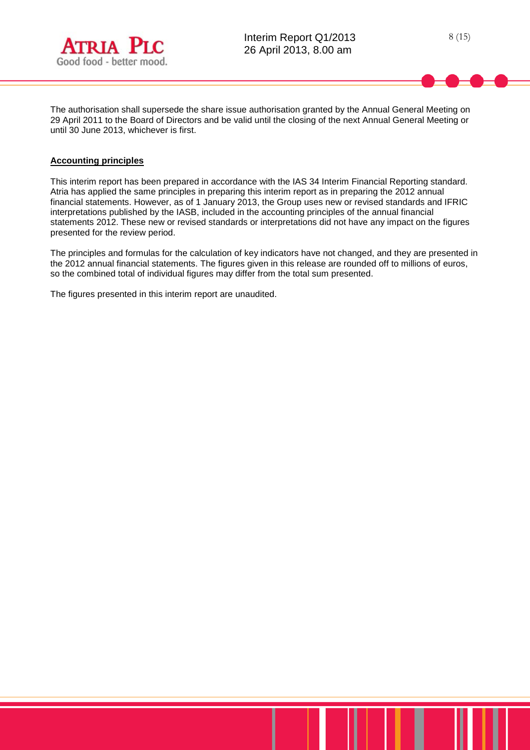



The authorisation shall supersede the share issue authorisation granted by the Annual General Meeting on 29 April 2011 to the Board of Directors and be valid until the closing of the next Annual General Meeting or until 30 June 2013, whichever is first.

## **Accounting principles**

This interim report has been prepared in accordance with the IAS 34 Interim Financial Reporting standard. Atria has applied the same principles in preparing this interim report as in preparing the 2012 annual financial statements. However, as of 1 January 2013, the Group uses new or revised standards and IFRIC interpretations published by the IASB, included in the accounting principles of the annual financial statements 2012. These new or revised standards or interpretations did not have any impact on the figures presented for the review period.

The principles and formulas for the calculation of key indicators have not changed, and they are presented in the 2012 annual financial statements. The figures given in this release are rounded off to millions of euros, so the combined total of individual figures may differ from the total sum presented.

The figures presented in this interim report are unaudited.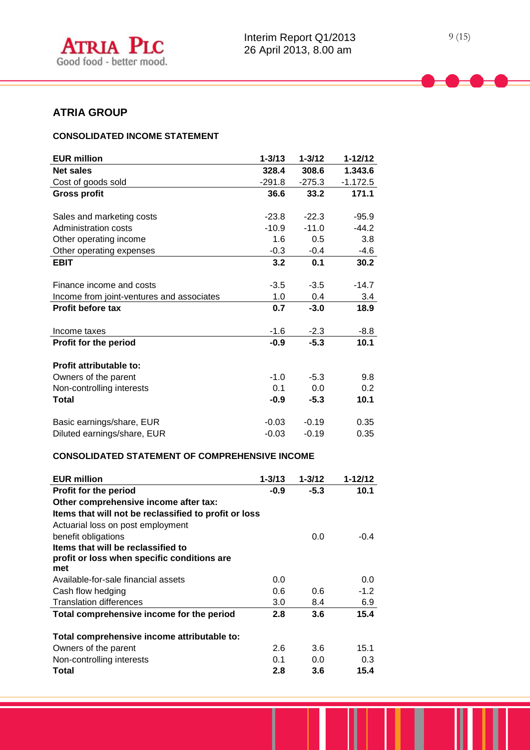# **ATRIA GROUP**

# **CONSOLIDATED INCOME STATEMENT**

| <b>EUR million</b>                        | $1 - 3/13$ | $1 - 3/12$ | $1 - 12/12$ |
|-------------------------------------------|------------|------------|-------------|
| <b>Net sales</b>                          | 328.4      | 308.6      | 1.343.6     |
| Cost of goods sold                        | $-291.8$   | $-275.3$   | $-1.172.5$  |
| <b>Gross profit</b>                       | 36.6       | 33.2       | 171.1       |
| Sales and marketing costs                 | $-23.8$    | $-22.3$    | $-95.9$     |
| Administration costs                      | $-10.9$    | $-11.0$    | $-44.2$     |
| Other operating income                    | 1.6        | 0.5        | 3.8         |
| Other operating expenses                  | $-0.3$     | $-0.4$     | $-4.6$      |
| <b>EBIT</b>                               | 3.2        | 0.1        | 30.2        |
| Finance income and costs                  | $-3.5$     | $-3.5$     | $-14.7$     |
| Income from joint-ventures and associates | 1.0        | 0.4        | 3.4         |
| <b>Profit before tax</b>                  | 0.7        | $-3.0$     | 18.9        |
|                                           |            |            |             |
| Income taxes                              | $-1.6$     | $-2.3$     | $-8.8$      |
| Profit for the period                     | $-0.9$     | $-5.3$     | 10.1        |
| Profit attributable to:                   |            |            |             |
| Owners of the parent                      | $-1.0$     | $-5.3$     | 9.8         |
| Non-controlling interests                 | 0.1        | 0.0        | 0.2         |
| Total                                     | $-0.9$     | $-5.3$     | 10.1        |
| Basic earnings/share, EUR                 | $-0.03$    | $-0.19$    | 0.35        |
| Diluted earnings/share, EUR               | $-0.03$    | $-0.19$    | 0.35        |

# **CONSOLIDATED STATEMENT OF COMPREHENSIVE INCOME**

| <b>EUR million</b>                                    | $1 - 3/13$ | $1 - 3/12$ | $1 - 12/12$ |
|-------------------------------------------------------|------------|------------|-------------|
| Profit for the period                                 | $-0.9$     | $-5.3$     | 10.1        |
| Other comprehensive income after tax:                 |            |            |             |
| Items that will not be reclassified to profit or loss |            |            |             |
| Actuarial loss on post employment                     |            |            |             |
| benefit obligations                                   |            | 0.0        | $-0.4$      |
| Items that will be reclassified to                    |            |            |             |
| profit or loss when specific conditions are           |            |            |             |
| met                                                   |            |            |             |
| Available-for-sale financial assets                   | 0.0        |            | 0.0         |
| Cash flow hedging                                     | 0.6        | 0.6        | $-1.2$      |
| <b>Translation differences</b>                        | 3.0        | 8.4        | 6.9         |
| Total comprehensive income for the period             | 2.8        | 3.6        | 15.4        |
| Total comprehensive income attributable to:           |            |            |             |
| Owners of the parent                                  | 2.6        | 3.6        | 15.1        |
| Non-controlling interests                             | 0.1        | 0.0        | 0.3         |
| Total                                                 | 2.8        | 3.6        | 15.4        |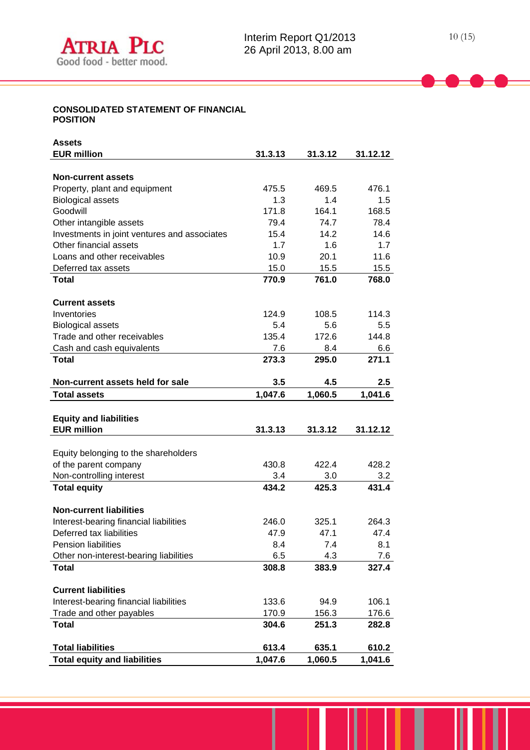## **CONSOLIDATED STATEMENT OF FINANCIAL POSITION**

| Assets                                                          |                  |                  |                  |  |
|-----------------------------------------------------------------|------------------|------------------|------------------|--|
| <b>EUR million</b>                                              | 31.3.13          | 31.3.12          | 31.12.12         |  |
|                                                                 |                  |                  |                  |  |
| <b>Non-current assets</b>                                       |                  |                  |                  |  |
| Property, plant and equipment                                   | 475.5            | 469.5            | 476.1            |  |
| <b>Biological assets</b>                                        | 1.3              | 1.4              | 1.5              |  |
| Goodwill                                                        | 171.8            | 164.1            | 168.5            |  |
| Other intangible assets                                         | 79.4             | 74.7             | 78.4             |  |
| Investments in joint ventures and associates                    | 15.4             | 14.2             | 14.6             |  |
| Other financial assets                                          | 1.7              | 1.6              | 1.7              |  |
| Loans and other receivables                                     | 10.9             | 20.1             | 11.6             |  |
| Deferred tax assets                                             | 15.0             | 15.5             | 15.5             |  |
| <b>Total</b>                                                    | 770.9            | 761.0            | 768.0            |  |
|                                                                 |                  |                  |                  |  |
| <b>Current assets</b>                                           |                  |                  |                  |  |
| Inventories                                                     | 124.9            | 108.5            | 114.3            |  |
| <b>Biological assets</b>                                        | 5.4              | 5.6              | 5.5              |  |
| Trade and other receivables                                     | 135.4            | 172.6            | 144.8            |  |
| Cash and cash equivalents                                       | 7.6              | 8.4              | 6.6              |  |
| <b>Total</b>                                                    | 273.3            | 295.0            | 271.1            |  |
|                                                                 |                  |                  |                  |  |
| Non-current assets held for sale                                | 3.5              | 4.5              | 2.5              |  |
| <b>Total assets</b>                                             | 1,047.6          | 1,060.5          | 1,041.6          |  |
|                                                                 |                  |                  |                  |  |
| <b>Equity and liabilities</b>                                   |                  |                  |                  |  |
| <b>EUR million</b>                                              | 31.3.13          | 31.3.12          | 31.12.12         |  |
|                                                                 |                  |                  |                  |  |
| Equity belonging to the shareholders                            |                  |                  |                  |  |
| of the parent company                                           | 430.8            | 422.4            | 428.2            |  |
| Non-controlling interest                                        | 3.4              | 3.0              | 3.2              |  |
| <b>Total equity</b>                                             | 434.2            | 425.3            | 431.4            |  |
|                                                                 |                  |                  |                  |  |
| <b>Non-current liabilities</b>                                  |                  |                  |                  |  |
| Interest-bearing financial liabilities                          | 246.0            | 325.1            | 264.3            |  |
| Deferred tax liabilities                                        | 47.9             | 47.1             | 47.4             |  |
| <b>Pension liabilities</b>                                      |                  |                  |                  |  |
|                                                                 | 8.4              | 7.4              | 8.1              |  |
| Other non-interest-bearing liabilities                          | 6.5              | 4.3              | 7.6              |  |
| <b>Total</b>                                                    | 308.8            | 383.9            | 327.4            |  |
|                                                                 |                  |                  |                  |  |
| <b>Current liabilities</b>                                      |                  |                  |                  |  |
| Interest-bearing financial liabilities                          | 133.6            | 94.9             | 106.1            |  |
| Trade and other payables                                        | 170.9            | 156.3            | 176.6            |  |
| <b>Total</b>                                                    | 304.6            | 251.3            | 282.8            |  |
|                                                                 |                  |                  |                  |  |
| <b>Total liabilities</b><br><b>Total equity and liabilities</b> | 613.4<br>1,047.6 | 635.1<br>1,060.5 | 610.2<br>1,041.6 |  |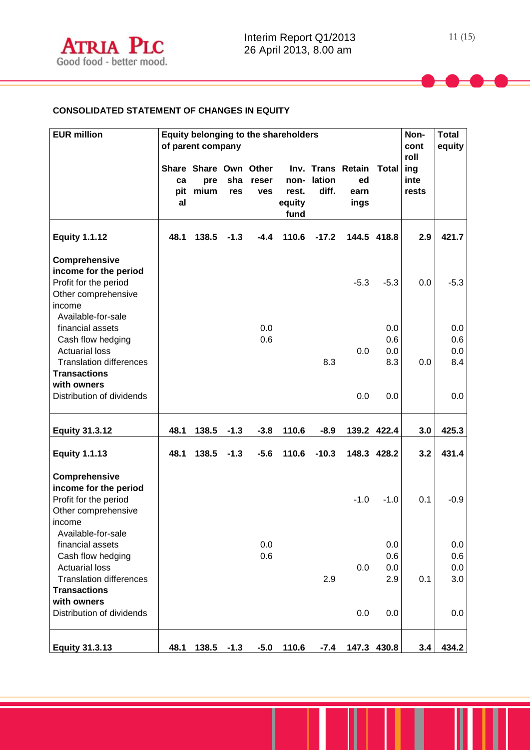# **CONSOLIDATED STATEMENT OF CHANGES IN EQUITY**

| <b>EUR million</b>                                                                                                                            |                 | Equity belonging to the shareholders<br>of parent company |            |                     |                                 |                 |                                         | Non-<br>cont<br>roll     | <b>Total</b><br>equity |                          |
|-----------------------------------------------------------------------------------------------------------------------------------------------|-----------------|-----------------------------------------------------------|------------|---------------------|---------------------------------|-----------------|-----------------------------------------|--------------------------|------------------------|--------------------------|
|                                                                                                                                               | ca<br>pit<br>al | Share Share Own Other<br>pre<br>mium                      | sha<br>res | reser<br><b>ves</b> | non-<br>rest.<br>equity<br>fund | lation<br>diff. | Inv. Trans Retain<br>ed<br>earn<br>ings | <b>Total</b>             | ing<br>inte<br>rests   |                          |
| <b>Equity 1.1.12</b>                                                                                                                          | 48.1            | 138.5                                                     | $-1.3$     | $-4.4$              | 110.6                           | $-17.2$         |                                         | 144.5 418.8              | 2.9                    | 421.7                    |
| Comprehensive<br>income for the period<br>Profit for the period<br>Other comprehensive<br>income<br>Available-for-sale                        |                 |                                                           |            |                     |                                 |                 | $-5.3$                                  | $-5.3$                   | 0.0                    | $-5.3$                   |
| financial assets<br>Cash flow hedging<br><b>Actuarial loss</b><br><b>Translation differences</b><br><b>Transactions</b><br>with owners        |                 |                                                           |            | 0.0<br>0.6          |                                 | 8.3             | 0.0                                     | 0.0<br>0.6<br>0.0<br>8.3 | 0.0                    | 0.0<br>0.6<br>0.0<br>8.4 |
| Distribution of dividends                                                                                                                     |                 |                                                           |            |                     |                                 |                 | 0.0                                     | 0.0                      |                        | 0.0                      |
| <b>Equity 31.3.12</b>                                                                                                                         | 48.1            | 138.5                                                     | $-1.3$     | $-3.8$              | 110.6                           | $-8.9$          |                                         | 139.2 422.4              | 3.0                    | 425.3                    |
| <b>Equity 1.1.13</b>                                                                                                                          | 48.1            | 138.5                                                     | $-1.3$     | $-5.6$              | 110.6                           | $-10.3$         |                                         | 148.3 428.2              | 3.2                    | 431.4                    |
| Comprehensive<br>income for the period<br>Profit for the period<br>Other comprehensive<br>income                                              |                 |                                                           |            |                     |                                 |                 | $-1.0$                                  | $-1.0$                   | 0.1                    | $-0.9$                   |
| Available-for-sale<br>financial assets<br>Cash flow hedging<br><b>Actuarial loss</b><br><b>Translation differences</b><br><b>Transactions</b> |                 |                                                           |            | 0.0<br>0.6          |                                 | 2.9             | 0.0                                     | 0.0<br>0.6<br>0.0<br>2.9 | 0.1                    | 0.0<br>0.6<br>0.0<br>3.0 |
| with owners<br>Distribution of dividends                                                                                                      |                 |                                                           |            |                     |                                 |                 | 0.0                                     | 0.0                      |                        | 0.0                      |
| <b>Equity 31.3.13</b>                                                                                                                         | 48.1            | 138.5                                                     | $-1.3$     | $-5.0$              | 110.6                           | $-7.4$          | 147.3                                   | 430.8                    | 3.4                    | 434.2                    |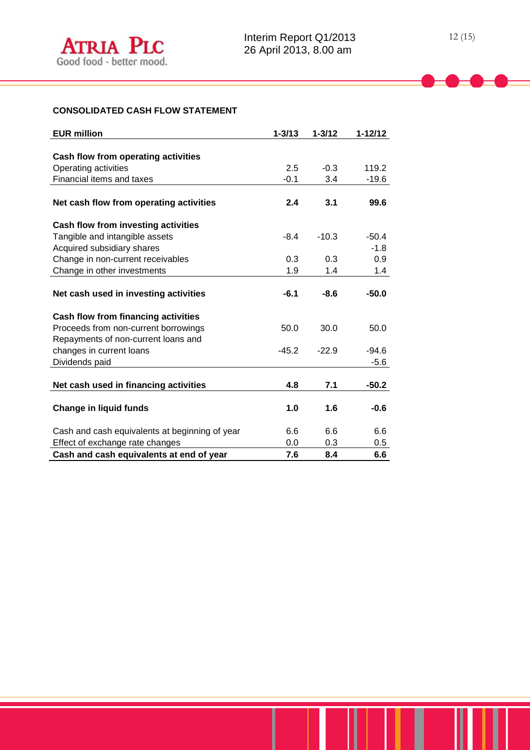| <b>EUR million</b>                             | $1 - 3/13$ | $1 - 3/12$ | $1 - 12/12$ |
|------------------------------------------------|------------|------------|-------------|
|                                                |            |            |             |
| Cash flow from operating activities            |            |            |             |
| Operating activities                           | 2.5        | $-0.3$     | 119.2       |
| Financial items and taxes                      | $-0.1$     | 3.4        | $-19.6$     |
|                                                |            |            |             |
| Net cash flow from operating activities        | 2.4        | 3.1        | 99.6        |
| Cash flow from investing activities            |            |            |             |
| Tangible and intangible assets                 | $-8.4$     | $-10.3$    | $-50.4$     |
| Acquired subsidiary shares                     |            |            | $-1.8$      |
| Change in non-current receivables              | 0.3        | 0.3        | 0.9         |
| Change in other investments                    | 1.9        | 1.4        | 1.4         |
|                                                |            |            |             |
| Net cash used in investing activities          | $-6.1$     | $-8.6$     | $-50.0$     |
| Cash flow from financing activities            |            |            |             |
| Proceeds from non-current borrowings           | 50.0       | 30.0       | 50.0        |
| Repayments of non-current loans and            |            |            |             |
| changes in current loans                       | $-45.2$    | $-22.9$    | $-94.6$     |
| Dividends paid                                 |            |            | $-5.6$      |
|                                                |            |            |             |
| Net cash used in financing activities          | 4.8        | 7.1        | $-50.2$     |
|                                                |            |            |             |
| <b>Change in liquid funds</b>                  | 1.0        | 1.6        | $-0.6$      |
| Cash and cash equivalents at beginning of year | 6.6        | 6.6        | 6.6         |
| Effect of exchange rate changes                | 0.0        | 0.3        | 0.5         |
| Cash and cash equivalents at end of year       | 7.6        | 8.4        | 6.6         |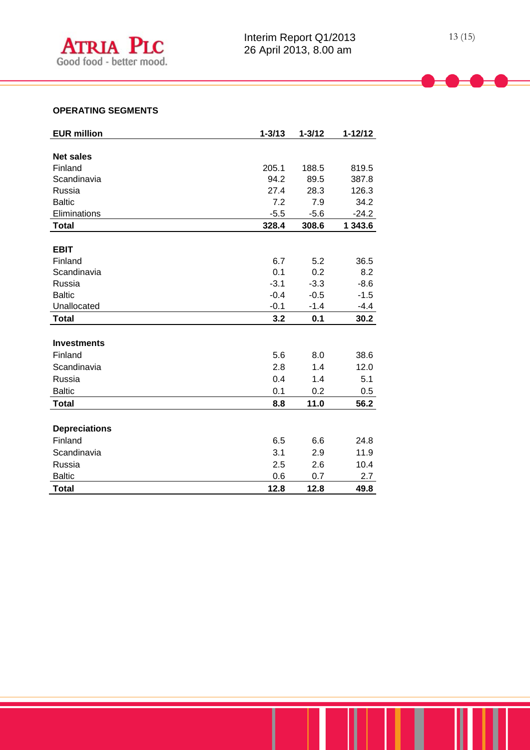| <b>EUR million</b>   | $1 - 3/13$ | $1 - 3/12$ | $1 - 12/12$ |
|----------------------|------------|------------|-------------|
|                      |            |            |             |
| <b>Net sales</b>     |            |            |             |
| Finland              | 205.1      | 188.5      | 819.5       |
| Scandinavia          | 94.2       | 89.5       | 387.8       |
| Russia               | 27.4       | 28.3       | 126.3       |
| <b>Baltic</b>        | 7.2        | 7.9        | 34.2        |
| Eliminations         | $-5.5$     | $-5.6$     | $-24.2$     |
| <b>Total</b>         | 328.4      | 308.6      | 1 343.6     |
|                      |            |            |             |
| <b>EBIT</b>          |            |            |             |
| Finland              | 6.7        | 5.2        | 36.5        |
| Scandinavia          | 0.1        | 0.2        | 8.2         |
| Russia               | $-3.1$     | $-3.3$     | $-8.6$      |
| <b>Baltic</b>        | $-0.4$     | $-0.5$     | $-1.5$      |
| Unallocated          | $-0.1$     | $-1.4$     | $-4.4$      |
| <b>Total</b>         | 3.2        | 0.1        | 30.2        |
|                      |            |            |             |
| <b>Investments</b>   |            |            |             |
| Finland              | 5.6        | 8.0        | 38.6        |
| Scandinavia          | 2.8        | 1.4        | 12.0        |
| Russia               | 0.4        | 1.4        | 5.1         |
| <b>Baltic</b>        | 0.1        | 0.2        | 0.5         |
| <b>Total</b>         | 8.8        | 11.0       | 56.2        |
|                      |            |            |             |
| <b>Depreciations</b> |            |            |             |
| Finland              | 6.5        | 6.6        | 24.8        |
| Scandinavia          | 3.1        | 2.9        | 11.9        |
| Russia               | 2.5        | 2.6        | 10.4        |
| <b>Baltic</b>        | 0.6        | 0.7        | 2.7         |
| <b>Total</b>         | 12.8       | 12.8       | 49.8        |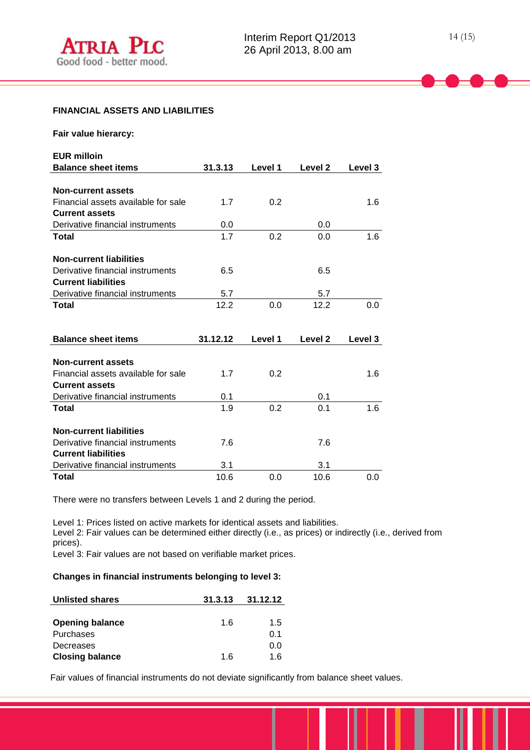#### **FINANCIAL ASSETS AND LIABILITIES**

| Fair value hierarcy:                |          |         |                    |         |
|-------------------------------------|----------|---------|--------------------|---------|
| <b>EUR milloin</b>                  |          |         |                    |         |
| <b>Balance sheet items</b>          | 31.3.13  | Level 1 | Level <sub>2</sub> | Level 3 |
|                                     |          |         |                    |         |
| <b>Non-current assets</b>           |          |         |                    |         |
| Financial assets available for sale | 1.7      | 0.2     |                    | 1.6     |
| <b>Current assets</b>               |          |         |                    |         |
| Derivative financial instruments    | 0.0      |         | 0.0                |         |
| <b>Total</b>                        | 1.7      | 0.2     | 0.0                | 1.6     |
|                                     |          |         |                    |         |
| <b>Non-current liabilities</b>      |          |         |                    |         |
| Derivative financial instruments    | 6.5      |         | 6.5                |         |
| <b>Current liabilities</b>          |          |         |                    |         |
| Derivative financial instruments    | 5.7      |         | 5.7                |         |
| <b>Total</b>                        | 12.2     | 0.0     | 12.2               | 0.0     |
|                                     |          |         |                    |         |
|                                     |          |         |                    |         |
| <b>Balance sheet items</b>          | 31.12.12 | Level 1 | Level <sub>2</sub> | Level 3 |
|                                     |          |         |                    |         |
| <b>Non-current assets</b>           |          |         |                    |         |
| Financial assets available for sale | 1.7      | 0.2     |                    | 1.6     |
| <b>Current assets</b>               |          |         |                    |         |
| Derivative financial instruments    | 0.1      |         | 0.1                |         |
| <b>Total</b>                        | 1.9      | 0.2     | 0.1                | 1.6     |
|                                     |          |         |                    |         |
| <b>Non-current liabilities</b>      |          |         |                    |         |
| Derivative financial instruments    | 7.6      |         | 7.6                |         |
| <b>Current liabilities</b>          |          |         |                    |         |
| Derivative financial instruments    | 3.1      |         | 3.1                |         |
| <b>Total</b>                        | 10.6     | 0.0     | 10.6               | 0.0     |

There were no transfers between Levels 1 and 2 during the period.

Level 1: Prices listed on active markets for identical assets and liabilities. Level 2: Fair values can be determined either directly (i.e., as prices) or indirectly (i.e., derived from prices).

Level 3: Fair values are not based on verifiable market prices.

#### **Changes in financial instruments belonging to level 3:**

| <b>Unlisted shares</b> | 31.3.13 | 31.12.12 |
|------------------------|---------|----------|
|                        |         |          |
| <b>Opening balance</b> | 1.6     | 1.5      |
| Purchases              |         | 0.1      |
| Decreases              |         | 0.0      |
| <b>Closing balance</b> | 1 6     | 1.6      |

Fair values of financial instruments do not deviate significantly from balance sheet values.